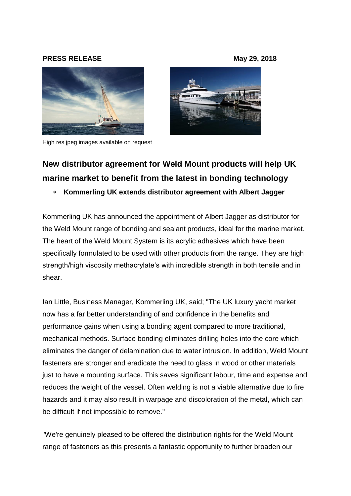## **PRESS RELEASE May 29, 2018**



High res jpeg images available on request



# **New distributor agreement for Weld Mount products will help UK marine market to benefit from the latest in bonding technology**

# **Kommerling UK extends distributor agreement with Albert Jagger**

Kommerling UK has announced the appointment of Albert Jagger as distributor for the Weld Mount range of bonding and sealant products, ideal for the marine market. The heart of the Weld Mount System is its acrylic adhesives which have been specifically formulated to be used with other products from the range. They are high strength/high viscosity methacrylate's with incredible strength in both tensile and in shear.

Ian Little, Business Manager, Kommerling UK, said; "The UK luxury yacht market now has a far better understanding of and confidence in the benefits and performance gains when using a bonding agent compared to more traditional, mechanical methods. Surface bonding eliminates drilling holes into the core which eliminates the danger of delamination due to water intrusion. In addition, Weld Mount fasteners are stronger and eradicate the need to glass in wood or other materials just to have a mounting surface. This saves significant labour, time and expense and reduces the weight of the vessel. Often welding is not a viable alternative due to fire hazards and it may also result in warpage and discoloration of the metal, which can be difficult if not impossible to remove."

"We're genuinely pleased to be offered the distribution rights for the Weld Mount range of fasteners as this presents a fantastic opportunity to further broaden our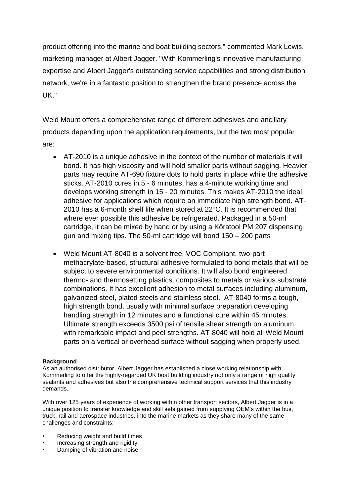product offering into the marine and boat building sectors," commented Mark Lewis, marketing manager at Albert Jagger. "With Kommerling's innovative manufacturing expertise and Albert Jagger's outstanding service capabilities and strong distribution network, we're in a fantastic position to strengthen the brand presence across the UK."

Weld Mount offers a comprehensive range of different adhesives and ancillary products depending upon the application requirements, but the two most popular are:

- AT-2010 is a unique adhesive in the context of the number of materials it will bond. It has high viscosity and will hold smaller parts without sagging. Heavier parts may require AT-690 fixture dots to hold parts in place while the adhesive sticks. AT-2010 cures in 5 - 6 minutes, has a 4-minute working time and develops working strength in 15 - 20 minutes. This makes AT-2010 the ideal adhesive for applications which require an immediate high strength bond. AT-2010 has a 6-month shelf life when stored at 22ºC. It is recommended that where ever possible this adhesive be refrigerated. Packaged in a 50-ml cartridge, it can be mixed by hand or by using a Köratool PM 207 dispensing gun and mixing tips. The 50-ml cartridge will bond 150 – 200 parts
- Weld Mount AT-8040 is a solvent free, VOC Compliant, two-part methacrylate-based, structural adhesive formulated to bond metals that will be subject to severe environmental conditions. It will also bond engineered thermo- and thermosetting plastics, composites to metals or various substrate combinations. It has excellent adhesion to metal surfaces including aluminum, galvanized steel, plated steels and stainless steel. AT-8040 forms a tough, high strength bond, usually with minimal surface preparation developing handling strength in 12 minutes and a functional cure within 45 minutes. Ultimate strength exceeds 3500 psi of tensile shear strength on aluminum with remarkable impact and peel strengths. AT-8040 will hold all Weld Mount parts on a vertical or overhead surface without sagging when properly used.

### **Background**

As an authorised distributor, Albert Jagger has established a close working relationship with Kommerling to offer the highly-regarded UK boat building industry not only a range of high quality sealants and adhesives but also the comprehensive technical support services that this industry demands.

With over 125 years of experience of working within other transport sectors, Albert Jagger is in a unique position to transfer knowledge and skill sets gained from supplying OEM's within the bus, truck, rail and aerospace industries, into the marine markets as they share many of the same challenges and constraints:

- Reducing weight and build times
- Increasing strength and rigidity
- Damping of vibration and noise